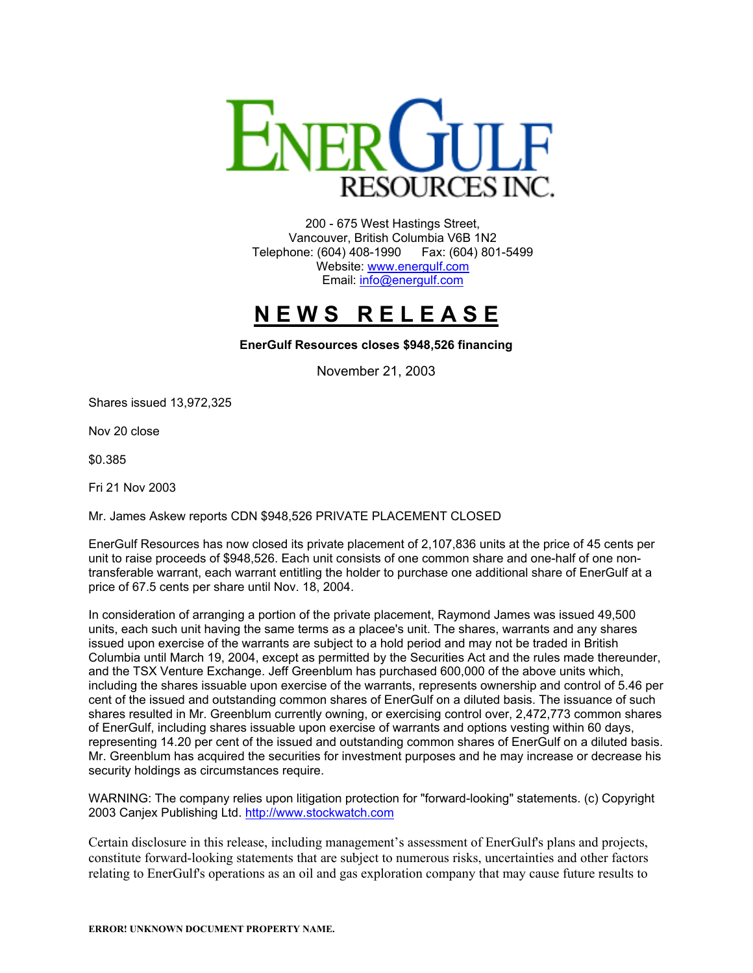

200 - 675 West Hastings Street, Vancouver, British Columbia V6B 1N2 Telephone: (604) 408-1990 Fax: (604) 801-5499 Website: [www.energulf.com](http://www.energulf.com/) Email: [info@energulf.com](mailto:info@energulf.com)

## **N E W S R E L E A S E**

**EnerGulf Resources closes \$948,526 financing** 

November 21, 2003

Shares issued 13,972,325

Nov 20 close

\$0.385

Fri 21 Nov 2003

Mr. James Askew reports CDN \$948,526 PRIVATE PLACEMENT CLOSED

EnerGulf Resources has now closed its private placement of 2,107,836 units at the price of 45 cents per unit to raise proceeds of \$948,526. Each unit consists of one common share and one-half of one nontransferable warrant, each warrant entitling the holder to purchase one additional share of EnerGulf at a price of 67.5 cents per share until Nov. 18, 2004.

In consideration of arranging a portion of the private placement, Raymond James was issued 49,500 units, each such unit having the same terms as a placee's unit. The shares, warrants and any shares issued upon exercise of the warrants are subject to a hold period and may not be traded in British Columbia until March 19, 2004, except as permitted by the Securities Act and the rules made thereunder, and the TSX Venture Exchange. Jeff Greenblum has purchased 600,000 of the above units which, including the shares issuable upon exercise of the warrants, represents ownership and control of 5.46 per cent of the issued and outstanding common shares of EnerGulf on a diluted basis. The issuance of such shares resulted in Mr. Greenblum currently owning, or exercising control over, 2,472,773 common shares of EnerGulf, including shares issuable upon exercise of warrants and options vesting within 60 days, representing 14.20 per cent of the issued and outstanding common shares of EnerGulf on a diluted basis. Mr. Greenblum has acquired the securities for investment purposes and he may increase or decrease his security holdings as circumstances require.

WARNING: The company relies upon litigation protection for "forward-looking" statements. (c) Copyright 2003 Canjex Publishing Ltd. [http://www.stockwatch.com](http://www.stockwatch.com/)

Certain disclosure in this release, including management's assessment of EnerGulf's plans and projects, constitute forward-looking statements that are subject to numerous risks, uncertainties and other factors relating to EnerGulf's operations as an oil and gas exploration company that may cause future results to